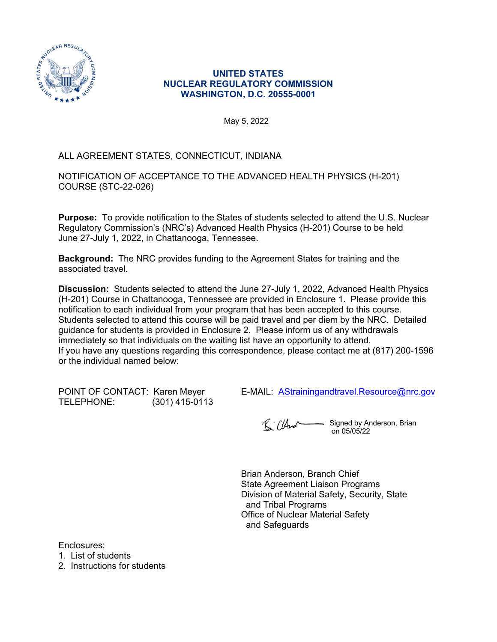

#### **UNITED STATES NUCLEAR REGULATORY COMMISSION WASHINGTON, D.C. 20555-0001**

May 5, 2022

## ALL AGREEMENT STATES, CONNECTICUT, INDIANA

NOTIFICATION OF ACCEPTANCE TO THE ADVANCED HEALTH PHYSICS (H-201) COURSE (STC-22-026)

**Purpose:** To provide notification to the States of students selected to attend the U.S. Nuclear Regulatory Commission's (NRC's) Advanced Health Physics (H-201) Course to be held June 27-July 1, 2022, in Chattanooga, Tennessee.

**Background:** The NRC provides funding to the Agreement States for training and the associated travel.

**Discussion:** Students selected to attend the June 27-July 1, 2022, Advanced Health Physics (H-201) Course in Chattanooga, Tennessee are provided in Enclosure 1. Please provide this notification to each individual from your program that has been accepted to this course. Students selected to attend this course will be paid travel and per diem by the NRC. Detailed guidance for students is provided in Enclosure 2. Please inform us of any withdrawals immediately so that individuals on the waiting list have an opportunity to attend. If you have any questions regarding this correspondence, please contact me at (817) 200-1596 or the individual named below:

POINT OF CONTACT: Karen Meyer E-MAIL: **[AStrainingandtravel.Resource@nrc.gov](mailto:AStrainingandtravel.Resource@nrc.gov)**<br>TELEPHONE: (301) 415-0113  $(301)$  415-0113

R. CHur - Signed by Anderson, Brian on 05/05/22

Brian Anderson, Branch Chief State Agreement Liaison Programs Division of Material Safety, Security, State and Tribal Programs Office of Nuclear Material Safety and Safeguards

Enclosures:

1. List of students

2. Instructions for students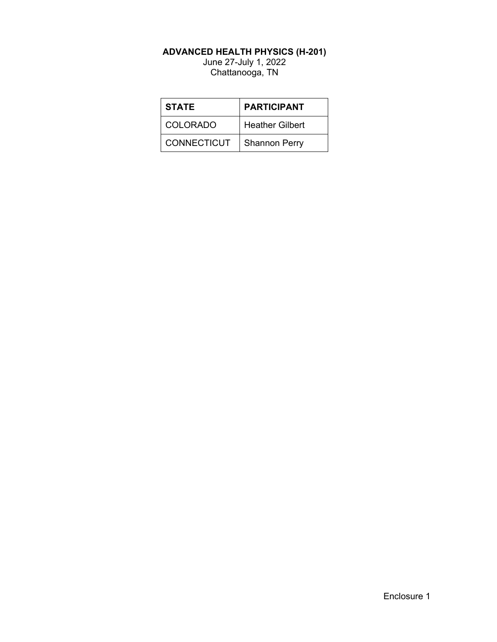#### **ADVANCED HEALTH PHYSICS (H-201)**

June 27-July 1, 2022 Chattanooga, TN

| <b>STATE</b>       | <b>PARTICIPANT</b>     |  |
|--------------------|------------------------|--|
| <b>COLORADO</b>    | <b>Heather Gilbert</b> |  |
| <b>CONNECTICUT</b> | <b>Shannon Perry</b>   |  |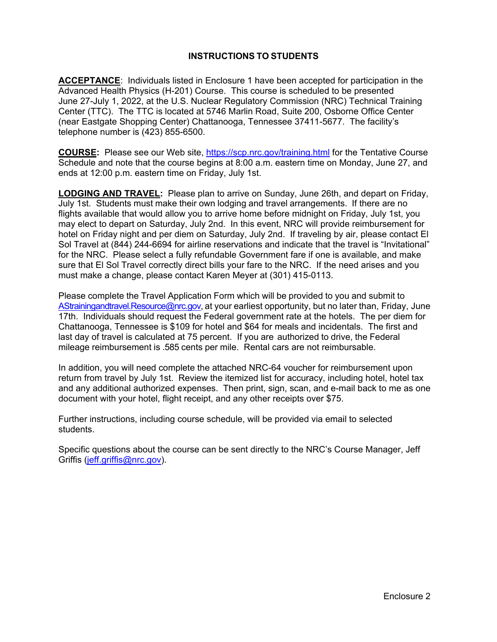### **INSTRUCTIONS TO STUDENTS**

**ACCEPTANCE**: Individuals listed in Enclosure 1 have been accepted for participation in the Advanced Health Physics (H-201) Course. This course is scheduled to be presented June 27-July 1, 2022, at the U.S. Nuclear Regulatory Commission (NRC) Technical Training Center (TTC). The TTC is located at 5746 Marlin Road, Suite 200, Osborne Office Center (near Eastgate Shopping Center) Chattanooga, Tennessee 37411-5677. The facility's telephone number is (423) 855-6500.

**COURSE:** Please see our Web site,<https://scp.nrc.gov/training.html> for the Tentative Course Schedule and note that the course begins at 8:00 a.m. eastern time on Monday, June 27, and ends at 12:00 p.m. eastern time on Friday, July 1st.

**LODGING AND TRAVEL:** Please plan to arrive on Sunday, June 26th, and depart on Friday, July 1st. Students must make their own lodging and travel arrangements. If there are no flights available that would allow you to arrive home before midnight on Friday, July 1st, you may elect to depart on Saturday, July 2nd. In this event, NRC will provide reimbursement for hotel on Friday night and per diem on Saturday, July 2nd. If traveling by air, please contact El Sol Travel at (844) 244-6694 for airline reservations and indicate that the travel is "Invitational" for the NRC. Please select a fully refundable Government fare if one is available, and make sure that El Sol Travel correctly direct bills your fare to the NRC. If the need arises and you must make a change, please contact Karen Meyer at (301) 415-0113.

Please complete the Travel Application Form which will be provided to you and submit to [AStrainingandtravel.Resource@nrc.gov](mailto:AStrainingandtravel.Resource@nrc.gov), at your earliest opportunity, but no later than, Friday, June 17th. Individuals should request the Federal government rate at the hotels. The per diem for Chattanooga, Tennessee is \$109 for hotel and \$64 for meals and incidentals. The first and last day of travel is calculated at 75 percent. If you are authorized to drive, the Federal mileage reimbursement is .585 cents per mile. Rental cars are not reimbursable.

In addition, you will need complete the attached NRC-64 voucher for reimbursement upon return from travel by July 1st. Review the itemized list for accuracy, including hotel, hotel tax and any additional authorized expenses. Then print, sign, scan, and e-mail back to me as one document with your hotel, flight receipt, and any other receipts over \$75.

Further instructions, including course schedule, will be provided via email to selected students.

Specific questions about the course can be sent directly to the NRC's Course Manager, Jeff Griffis [\(jeff.griffis@nrc.gov\)](mailto:jeff.griffis@nrc.gov).